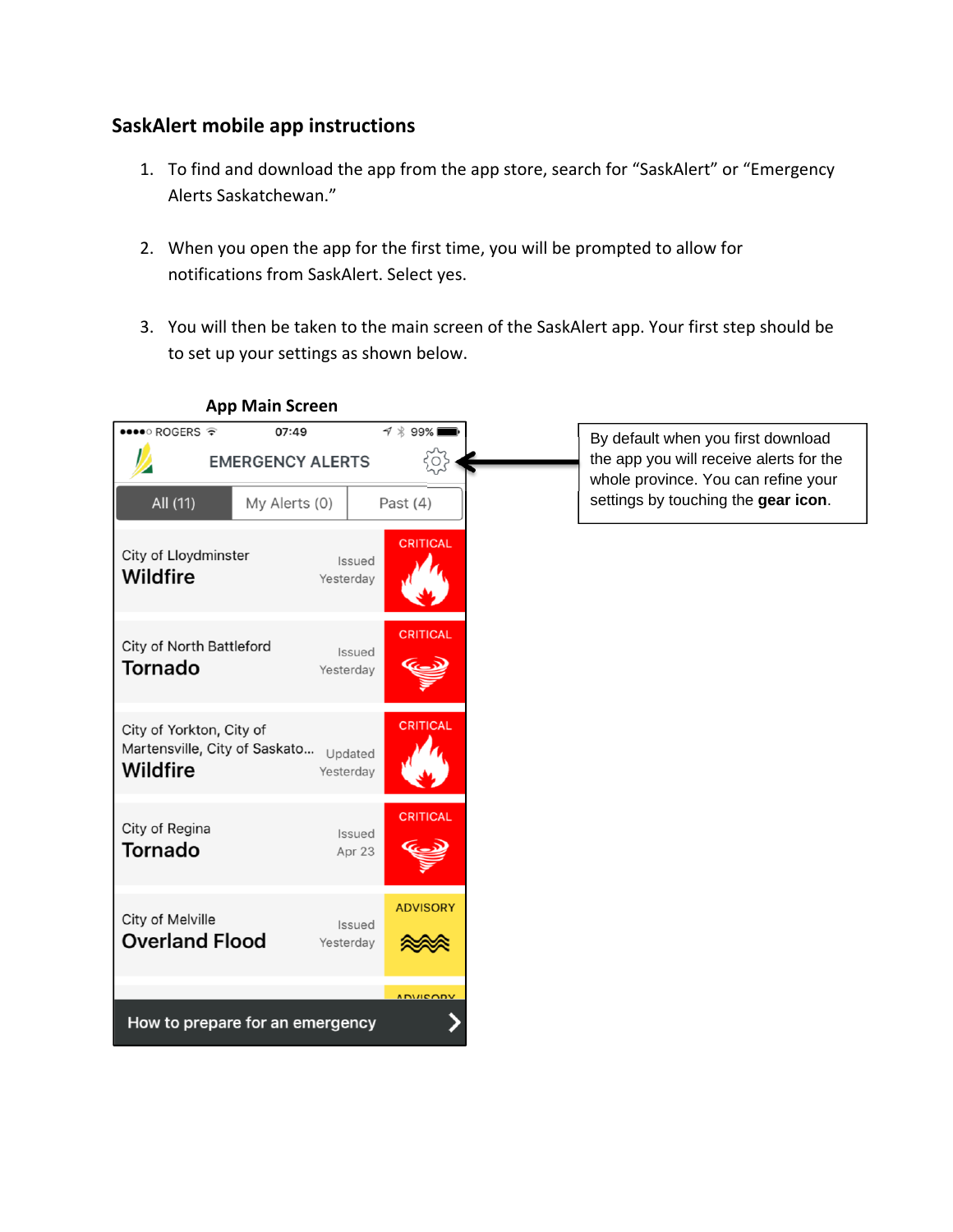### **SaskAlert mobile app instructions**

- 1. To find and download the app from the app store, search for "SaskAlert" or "Emergency Alerts Saskatchewan."
- 2. When you open the app for the first time, you will be prompted to allow for notifications from SaskAlert. Select yes.
- 3. You will then be taken to the main screen of the SaskAlert app. Your first step should be to set up your settings as shown below.



#### **App Main Screen**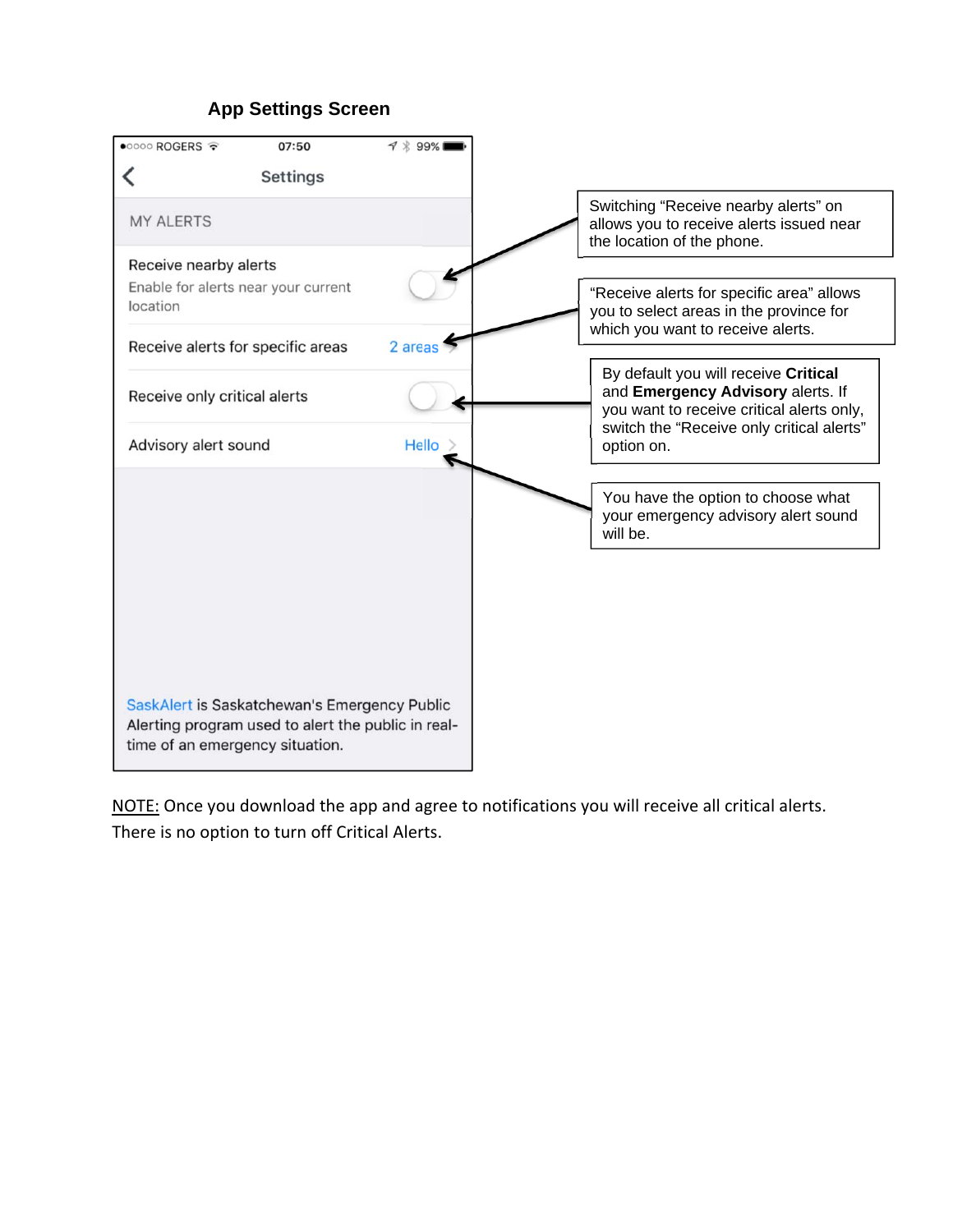# **App Settings Screen**



NOTE: Once you download the app and agree to notifications you will receive all critical alerts. There is no option to turn off Critical Alerts.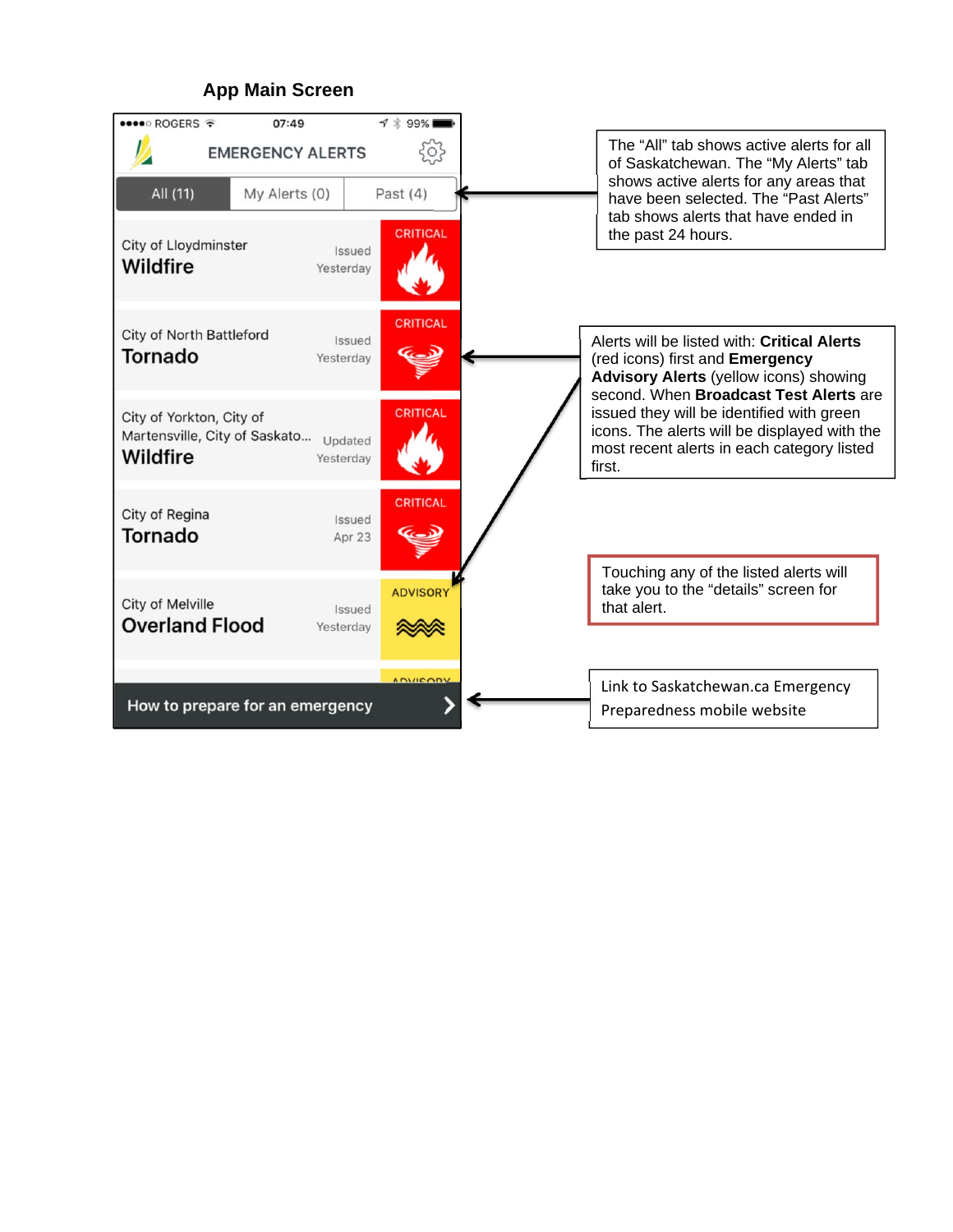### **App Main Screen**